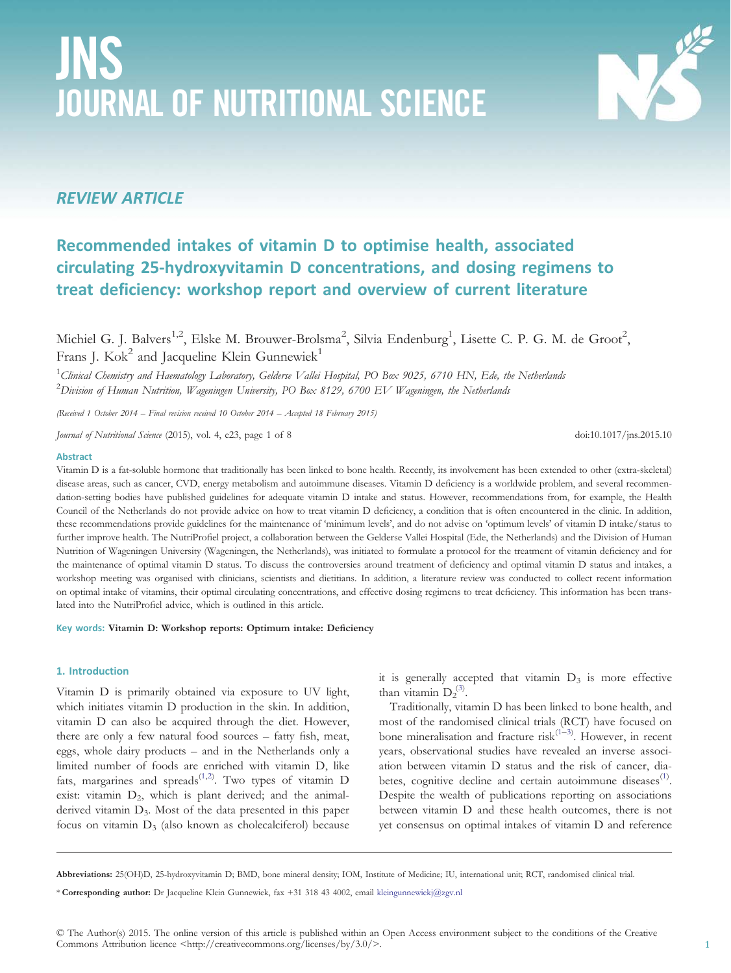# JNS JOURNAL OF NUTRITIONAL SCIENCE



# Recommended intakes of vitamin D to optimise health, associated circulating 25-hydroxyvitamin D concentrations, and dosing regimens to treat deficiency: workshop report and overview of current literature

Michiel G. J. Balvers<sup>1,2</sup>, Elske M. Brouwer-Brolsma<sup>2</sup>, Silvia Endenburg<sup>1</sup>, Lisette C. P. G. M. de Groot<sup>2</sup>, Frans J.  $\rm{Kok}^2$  and Jacqueline Klein Gunnewiek $^1$ 

<sup>1</sup>Clinical Chemistry and Haematology Laboratory, Gelderse Vallei Hospital, PO Box 9025, 6710 HN, Ede, the Netherlands <sup>2</sup>Division of Human Nutrition, Wageningen University, PO Box 8129, 6700 EV Wageningen, the Netherlands

(Received 1 October 2014 – Final revision received 10 October 2014 – Accepted 18 February 2015)

Journal of Nutritional Science (2015), vol. 4, e23, page 1 of 8 doi:10.1017/jns.2015.10

#### Abstract

Vitamin D is a fat-soluble hormone that traditionally has been linked to bone health. Recently, its involvement has been extended to other (extra-skeletal) disease areas, such as cancer, CVD, energy metabolism and autoimmune diseases. Vitamin D deficiency is a worldwide problem, and several recommendation-setting bodies have published guidelines for adequate vitamin D intake and status. However, recommendations from, for example, the Health Council of the Netherlands do not provide advice on how to treat vitamin D deficiency, a condition that is often encountered in the clinic. In addition, these recommendations provide guidelines for the maintenance of 'minimum levels', and do not advise on 'optimum levels' of vitamin D intake/status to further improve health. The NutriProfiel project, a collaboration between the Gelderse Vallei Hospital (Ede, the Netherlands) and the Division of Human Nutrition of Wageningen University (Wageningen, the Netherlands), was initiated to formulate a protocol for the treatment of vitamin deficiency and for the maintenance of optimal vitamin D status. To discuss the controversies around treatment of deficiency and optimal vitamin D status and intakes, a workshop meeting was organised with clinicians, scientists and dietitians. In addition, a literature review was conducted to collect recent information on optimal intake of vitamins, their optimal circulating concentrations, and effective dosing regimens to treat deficiency. This information has been translated into the NutriProfiel advice, which is outlined in this article.

Key words: Vitamin D: Workshop reports: Optimum intake: Deficiency

#### 1. Introduction

Vitamin D is primarily obtained via exposure to UV light, which initiates vitamin D production in the skin. In addition, vitamin D can also be acquired through the diet. However, there are only a few natural food sources – fatty fish, meat, eggs, whole dairy products – and in the Netherlands only a limited number of foods are enriched with vitamin D, like fats, margarines and spreads<sup> $(1,2)$  $(1,2)$ </sup>. Two types of vitamin D exist: vitamin  $D_2$ , which is plant derived; and the animalderived vitamin  $D_3$ . Most of the data presented in this paper focus on vitamin  $D_3$  (also known as cholecalciferol) because

it is generally accepted that vitamin  $D_3$  is more effective than vitamin  $D_2^{(3)}$  $D_2^{(3)}$  $D_2^{(3)}$ .

Traditionally, vitamin D has been linked to bone health, and most of the randomised clinical trials (RCT) have focused on bone mineralisation and fracture  $risk^{(1-3)}$  $risk^{(1-3)}$  $risk^{(1-3)}$  $risk^{(1-3)}$  $risk^{(1-3)}$ . However, in recent years, observational studies have revealed an inverse association between vitamin D status and the risk of cancer, dia-betes, cognitive decline and certain autoimmune diseases<sup>([1](#page-7-0))</sup>. Despite the wealth of publications reporting on associations between vitamin D and these health outcomes, there is not yet consensus on optimal intakes of vitamin D and reference

Abbreviations: 25(OH)D, 25-hydroxyvitamin D; BMD, bone mineral density; IOM, Institute of Medicine; IU, international unit; RCT, randomised clinical trial.

\* Corresponding author: Dr Jacqueline Klein Gunnewiek, fax +31 318 43 4002, email [kleingunnewiekj@zgv.nl](mailto:kleingunnewiekj@zgv.nl)

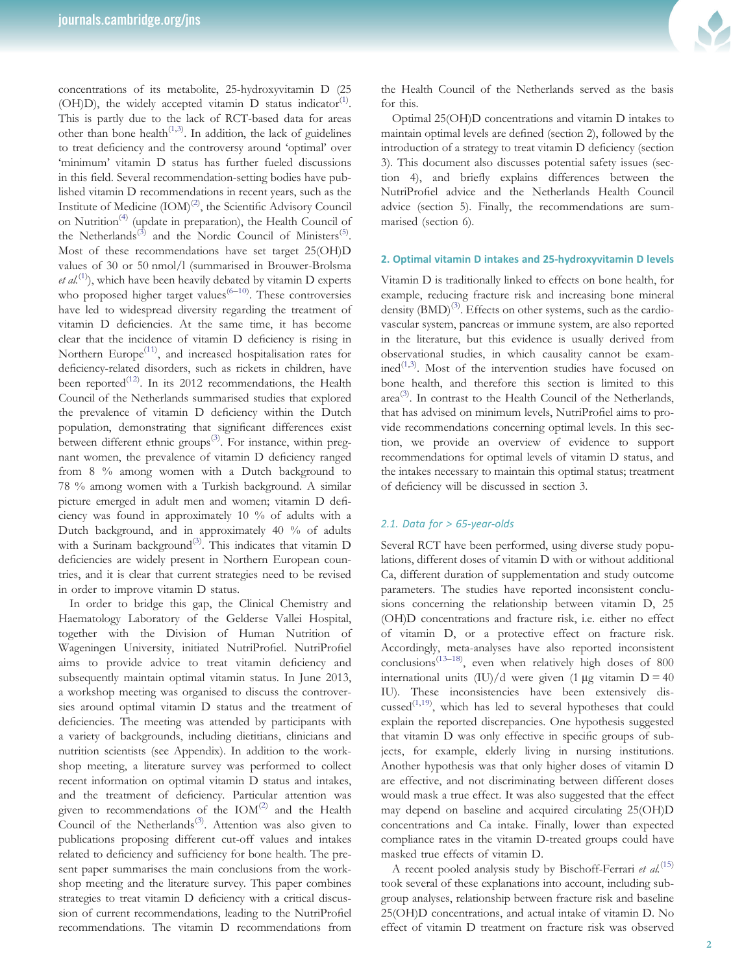concentrations of its metabolite, 25-hydroxyvitamin D (25 (OH)D), the widely accepted vitamin  $D$  status indicator<sup>([1](#page-7-0))</sup>. This is partly due to the lack of RCT-based data for areas other than bone health<sup> $(1,3)$ </sup>. In addition, the lack of guidelines to treat deficiency and the controversy around 'optimal' over 'minimum' vitamin D status has further fueled discussions in this field. Several recommendation-setting bodies have published vitamin D recommendations in recent years, such as the Institute of Medicine (IOM)<sup>([2](#page-7-0))</sup>, the Scientific Advisory Council on Nutrition<sup>([4](#page-7-0))</sup> (update in preparation), the Health Council of the Netherlands<sup>([3](#page-7-0))</sup> and the Nordic Council of Ministers<sup>([5](#page-7-0))</sup>. Most of these recommendations have set target 25(OH)D values of 30 or 50 nmol/l (summarised in Brouwer-Brolsma *et al.*<sup>([1\)](#page-7-0)</sup>), which have been heavily debated by vitamin D experts who proposed higher target values<sup>([6](#page-7-0)–[10\)](#page-7-0)</sup>. These controversies have led to widespread diversity regarding the treatment of vitamin D deficiencies. At the same time, it has become clear that the incidence of vitamin D deficiency is rising in Northern Europe<sup>[\(11](#page-7-0))</sup>, and increased hospitalisation rates for deficiency-related disorders, such as rickets in children, have been reported<sup>([12\)](#page-7-0)</sup>. In its 2012 recommendations, the Health Council of the Netherlands summarised studies that explored the prevalence of vitamin D deficiency within the Dutch population, demonstrating that significant differences exist between different ethnic groups<sup>([3](#page-7-0))</sup>. For instance, within pregnant women, the prevalence of vitamin D deficiency ranged from 8 % among women with a Dutch background to 78 % among women with a Turkish background. A similar picture emerged in adult men and women; vitamin D deficiency was found in approximately 10 % of adults with a Dutch background, and in approximately 40 % of adults with a Surinam background<sup>([3](#page-7-0))</sup>. This indicates that vitamin D deficiencies are widely present in Northern European countries, and it is clear that current strategies need to be revised in order to improve vitamin D status.

In order to bridge this gap, the Clinical Chemistry and Haematology Laboratory of the Gelderse Vallei Hospital, together with the Division of Human Nutrition of Wageningen University, initiated NutriProfiel. NutriProfiel aims to provide advice to treat vitamin deficiency and subsequently maintain optimal vitamin status. In June 2013, a workshop meeting was organised to discuss the controversies around optimal vitamin D status and the treatment of deficiencies. The meeting was attended by participants with a variety of backgrounds, including dietitians, clinicians and nutrition scientists (see Appendix). In addition to the workshop meeting, a literature survey was performed to collect recent information on optimal vitamin D status and intakes, and the treatment of deficiency. Particular attention was given to recommendations of the  $\text{IOM}^{(2)}$  $\text{IOM}^{(2)}$  $\text{IOM}^{(2)}$  and the Health Council of the Netherlands<sup>([3](#page-7-0))</sup>. Attention was also given to publications proposing different cut-off values and intakes related to deficiency and sufficiency for bone health. The present paper summarises the main conclusions from the workshop meeting and the literature survey. This paper combines strategies to treat vitamin D deficiency with a critical discussion of current recommendations, leading to the NutriProfiel recommendations. The vitamin D recommendations from



the Health Council of the Netherlands served as the basis for this.

Optimal 25(OH)D concentrations and vitamin D intakes to maintain optimal levels are defined (section 2), followed by the introduction of a strategy to treat vitamin D deficiency (section 3). This document also discusses potential safety issues (section 4), and briefly explains differences between the NutriProfiel advice and the Netherlands Health Council advice (section 5). Finally, the recommendations are summarised (section 6).

#### 2. Optimal vitamin D intakes and 25-hydroxyvitamin D levels

Vitamin D is traditionally linked to effects on bone health, for example, reducing fracture risk and increasing bone mineral density (BMD)<sup>([3](#page-7-0))</sup>. Effects on other systems, such as the cardiovascular system, pancreas or immune system, are also reported in the literature, but this evidence is usually derived from observational studies, in which causality cannot be examined $(1,3)$  $(1,3)$ . Most of the intervention studies have focused on bone health, and therefore this section is limited to this area<sup>[\(3\)](#page-7-0)</sup>. In contrast to the Health Council of the Netherlands, that has advised on minimum levels, NutriProfiel aims to provide recommendations concerning optimal levels. In this section, we provide an overview of evidence to support recommendations for optimal levels of vitamin D status, and the intakes necessary to maintain this optimal status; treatment of deficiency will be discussed in section 3.

#### 2.1. Data for > 65-year-olds

Several RCT have been performed, using diverse study populations, different doses of vitamin D with or without additional Ca, different duration of supplementation and study outcome parameters. The studies have reported inconsistent conclusions concerning the relationship between vitamin D, 25 (OH)D concentrations and fracture risk, i.e. either no effect of vitamin D, or a protective effect on fracture risk. Accordingly, meta-analyses have also reported inconsistent  $\text{conclusions}^{(13-18)}$  $\text{conclusions}^{(13-18)}$  $\text{conclusions}^{(13-18)}$  $\text{conclusions}^{(13-18)}$  $\text{conclusions}^{(13-18)}$ , even when relatively high doses of 800 international units (IU)/d were given (1  $\mu$ g vitamin D = 40 IU). These inconsistencies have been extensively dis- $cussed^{(1,19)}$  $cussed^{(1,19)}$  $cussed^{(1,19)}$ , which has led to several hypotheses that could explain the reported discrepancies. One hypothesis suggested that vitamin D was only effective in specific groups of subjects, for example, elderly living in nursing institutions. Another hypothesis was that only higher doses of vitamin D are effective, and not discriminating between different doses would mask a true effect. It was also suggested that the effect may depend on baseline and acquired circulating 25(OH)D concentrations and Ca intake. Finally, lower than expected compliance rates in the vitamin D-treated groups could have masked true effects of vitamin D.

A recent pooled analysis study by Bischoff-Ferrari et  $al$ .<sup>[\(15](#page-7-0))</sup> took several of these explanations into account, including subgroup analyses, relationship between fracture risk and baseline 25(OH)D concentrations, and actual intake of vitamin D. No effect of vitamin D treatment on fracture risk was observed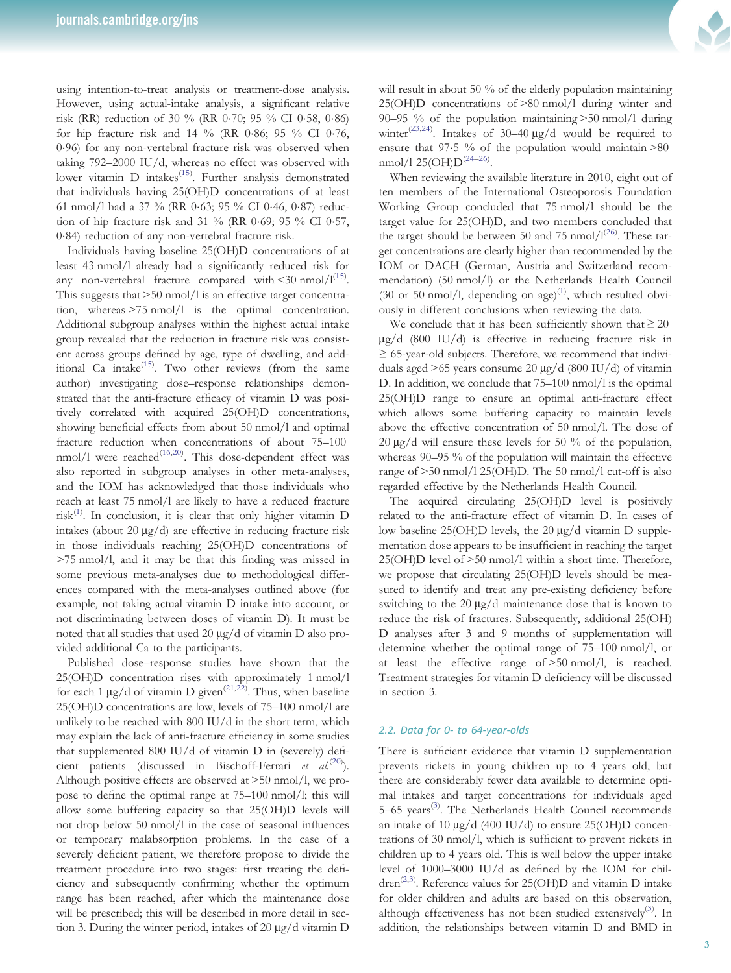using intention-to-treat analysis or treatment-dose analysis. However, using actual-intake analysis, a significant relative risk (RR) reduction of 30 % (RR 0·70; 95 % CI 0·58, 0·86) for hip fracture risk and 14 % (RR 0·86; 95 % CI 0·76, 0·96) for any non-vertebral fracture risk was observed when taking 792–2000 IU/d, whereas no effect was observed with lower vitamin D intakes<sup>([15\)](#page-7-0)</sup>. Further analysis demonstrated that individuals having 25(OH)D concentrations of at least 61 nmol/l had a 37 % (RR 0·63; 95 % CI 0·46, 0·87) reduction of hip fracture risk and 31 % (RR 0·69; 95 % CI 0·57, 0·84) reduction of any non-vertebral fracture risk.

Individuals having baseline 25(OH)D concentrations of at least 43 nmol/l already had a significantly reduced risk for any non-vertebral fracture compared with <30 nmol/ $l^{(15)}$  $l^{(15)}$  $l^{(15)}$ . This suggests that >50 nmol/l is an effective target concentration, whereas >75 nmol/l is the optimal concentration. Additional subgroup analyses within the highest actual intake group revealed that the reduction in fracture risk was consistent across groups defined by age, type of dwelling, and add-itional Ca intake<sup>([15\)](#page-7-0)</sup>. Two other reviews (from the same author) investigating dose–response relationships demonstrated that the anti-fracture efficacy of vitamin D was positively correlated with acquired 25(OH)D concentrations, showing beneficial effects from about 50 nmol/l and optimal fracture reduction when concentrations of about 75–100 nmol/l were reached<sup>[\(16](#page-7-0),[20\)](#page-7-0)</sup>. This dose-dependent effect was also reported in subgroup analyses in other meta-analyses, and the IOM has acknowledged that those individuals who reach at least 75 nmol/l are likely to have a reduced fracture risk<sup>([1](#page-7-0))</sup>. In conclusion, it is clear that only higher vitamin D intakes (about 20 μg/d) are effective in reducing fracture risk in those individuals reaching 25(OH)D concentrations of >75 nmol/l, and it may be that this finding was missed in some previous meta-analyses due to methodological differences compared with the meta-analyses outlined above (for example, not taking actual vitamin D intake into account, or not discriminating between doses of vitamin D). It must be noted that all studies that used 20 μg/d of vitamin D also provided additional Ca to the participants.

Published dose–response studies have shown that the 25(OH)D concentration rises with approximately 1 nmol/l for each 1  $\mu$ g/d of vitamin D given<sup>([21,22\)](#page-7-0)</sup>. Thus, when baseline 25(OH)D concentrations are low, levels of 75–100 nmol/l are unlikely to be reached with 800 IU/d in the short term, which may explain the lack of anti-fracture efficiency in some studies that supplemented 800 IU/d of vitamin D in (severely) deficient patients (discussed in Bischoff-Ferrari et  $al^{(20)}$  $al^{(20)}$  $al^{(20)}$ ). Although positive effects are observed at >50 nmol/l, we propose to define the optimal range at 75–100 nmol/l; this will allow some buffering capacity so that 25(OH)D levels will not drop below 50 nmol/l in the case of seasonal influences or temporary malabsorption problems. In the case of a severely deficient patient, we therefore propose to divide the treatment procedure into two stages: first treating the deficiency and subsequently confirming whether the optimum range has been reached, after which the maintenance dose will be prescribed; this will be described in more detail in section 3. During the winter period, intakes of 20 μg/d vitamin D



will result in about 50 % of the elderly population maintaining 25(OH)D concentrations of >80 nmol/l during winter and 90–95 % of the population maintaining >50 nmol/l during winter<sup>([23,24\)](#page-7-0)</sup>. Intakes of 30–40  $\mu$ g/d would be required to ensure that 97·5 % of the population would maintain >80  $nmol/1$  25(OH) $D^{(24-26)}$  $D^{(24-26)}$  $D^{(24-26)}$  $D^{(24-26)}$  $D^{(24-26)}$ .

When reviewing the available literature in 2010, eight out of ten members of the International Osteoporosis Foundation Working Group concluded that 75 nmol/l should be the target value for 25(OH)D, and two members concluded that the target should be between 50 and 75 nmol/ $1^{(26)}$  $1^{(26)}$  $1^{(26)}$ . These target concentrations are clearly higher than recommended by the IOM or DACH (German, Austria and Switzerland recommendation) (50 nmol/l) or the Netherlands Health Council (30 or 50 nmol/l, depending on  $\text{age})^{(1)}$  $\text{age})^{(1)}$  $\text{age})^{(1)}$ , which resulted obviously in different conclusions when reviewing the data.

We conclude that it has been sufficiently shown that  $\geq 20$ μg/d (800 IU/d) is effective in reducing fracture risk in ≥ 65-year-old subjects. Therefore, we recommend that individuals aged  $>65$  years consume 20  $\mu$ g/d (800 IU/d) of vitamin D. In addition, we conclude that 75–100 nmol/l is the optimal 25(OH)D range to ensure an optimal anti-fracture effect which allows some buffering capacity to maintain levels above the effective concentration of 50 nmol/l. The dose of 20 μg/d will ensure these levels for 50 % of the population, whereas 90–95 % of the population will maintain the effective range of >50 nmol/l 25(OH)D. The 50 nmol/l cut-off is also regarded effective by the Netherlands Health Council.

The acquired circulating 25(OH)D level is positively related to the anti-fracture effect of vitamin D. In cases of low baseline 25(OH)D levels, the 20 μg/d vitamin D supplementation dose appears to be insufficient in reaching the target 25(OH)D level of >50 nmol/l within a short time. Therefore, we propose that circulating 25(OH)D levels should be measured to identify and treat any pre-existing deficiency before switching to the 20 μg/d maintenance dose that is known to reduce the risk of fractures. Subsequently, additional 25(OH) D analyses after 3 and 9 months of supplementation will determine whether the optimal range of 75–100 nmol/l, or at least the effective range of >50 nmol/l, is reached. Treatment strategies for vitamin D deficiency will be discussed in section 3.

#### 2.2. Data for 0- to 64-year-olds

There is sufficient evidence that vitamin D supplementation prevents rickets in young children up to 4 years old, but there are considerably fewer data available to determine optimal intakes and target concentrations for individuals aged 5-65 years<sup>[\(3\)](#page-7-0)</sup>. The Netherlands Health Council recommends an intake of 10 μg/d (400 IU/d) to ensure 25(OH)D concentrations of 30 nmol/l, which is sufficient to prevent rickets in children up to 4 years old. This is well below the upper intake level of 1000–3000 IU/d as defined by the IOM for chil-dren<sup>[\(2,3\)](#page-7-0)</sup>. Reference values for 25(OH)D and vitamin D intake for older children and adults are based on this observation, although effectiveness has not been studied extensively<sup>([3](#page-7-0))</sup>. In addition, the relationships between vitamin D and BMD in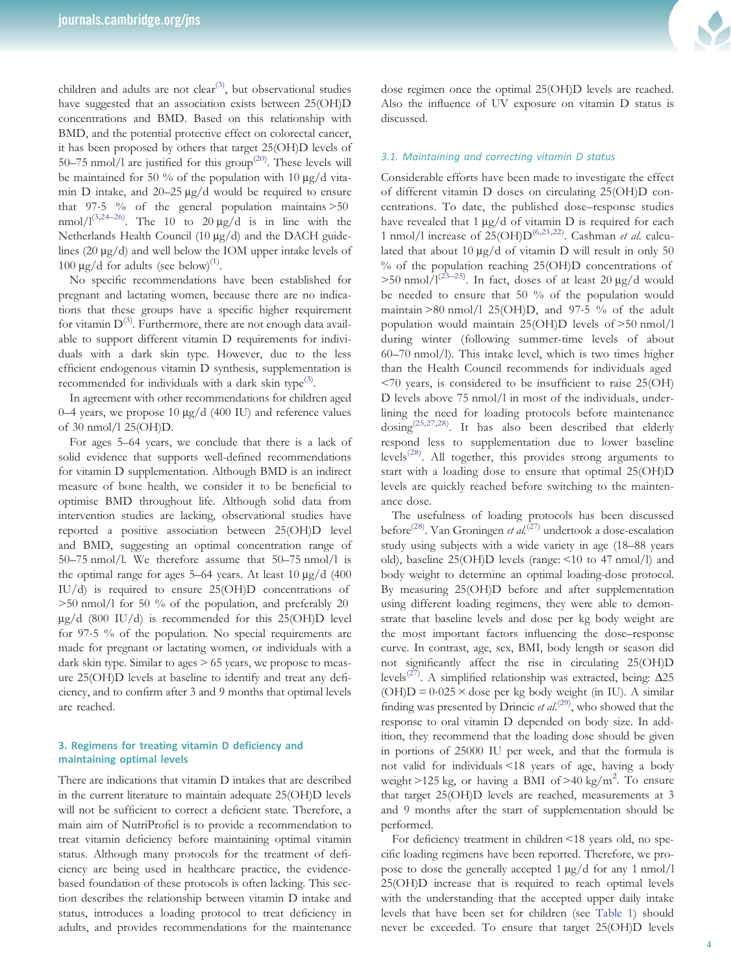children and adults are not clear<sup>([3](#page-7-0))</sup>, but observational studies have suggested that an association exists between 25(OH)D concentrations and BMD. Based on this relationship with BMD, and the potential protective effect on colorectal cancer, it has been proposed by others that target 25(OH)D levels of 50–75 nmol/l are justified for this group<sup>[\(20\)](#page-7-0)</sup>. These levels will be maintained for 50 % of the population with 10  $\mu$ g/d vitamin D intake, and 20–25 μg/d would be required to ensure that  $97.5\%$  of the general population maintains  $>50$ nmol/l<sup>([3](#page-7-0),[24](#page-7-0)–[26\)](#page-7-0)</sup>. The 10 to 20  $\mu$ g/d is in line with the Netherlands Health Council (10 μg/d) and the DACH guidelines (20 μg/d) and well below the IOM upper intake levels of 100 μg/d for adults (see below)<sup>[\(1\)](#page-7-0)</sup>.

No specific recommendations have been established for pregnant and lactating women, because there are no indications that these groups have a specific higher requirement for vitamin  $D^{(3)}$  $D^{(3)}$  $D^{(3)}$ . Furthermore, there are not enough data available to support different vitamin D requirements for individuals with a dark skin type. However, due to the less efficient endogenous vitamin D synthesis, supplementation is recommended for individuals with a dark skin type<sup>([3](#page-7-0))</sup>.

In agreement with other recommendations for children aged 0–4 years, we propose 10 μg/d (400 IU) and reference values of 30 nmol/l 25(OH)D.

For ages 5–64 years, we conclude that there is a lack of solid evidence that supports well-defined recommendations for vitamin D supplementation. Although BMD is an indirect measure of bone health, we consider it to be beneficial to optimise BMD throughout life. Although solid data from intervention studies are lacking, observational studies have reported a positive association between 25(OH)D level and BMD, suggesting an optimal concentration range of 50–75 nmol/l. We therefore assume that 50–75 nmol/l is the optimal range for ages 5–64 years. At least 10 μg/d (400 IU/d) is required to ensure 25(OH)D concentrations of >50 nmol/l for 50 % of the population, and preferably 20  $\mu$ g/d (800 IU/d) is recommended for this 25(OH)D level for 97·5 % of the population. No special requirements are made for pregnant or lactating women, or individuals with a dark skin type. Similar to ages > 65 years, we propose to measure 25(OH)D levels at baseline to identify and treat any deficiency, and to confirm after 3 and 9 months that optimal levels are reached.

# 3. Regimens for treating vitamin D deficiency and maintaining optimal levels

There are indications that vitamin D intakes that are described in the current literature to maintain adequate 25(OH)D levels will not be sufficient to correct a deficient state. Therefore, a main aim of NutriProfiel is to provide a recommendation to treat vitamin deficiency before maintaining optimal vitamin status. Although many protocols for the treatment of deficiency are being used in healthcare practice, the evidencebased foundation of these protocols is often lacking. This section describes the relationship between vitamin D intake and status, introduces a loading protocol to treat deficiency in adults, and provides recommendations for the maintenance



dose regimen once the optimal 25(OH)D levels are reached. Also the influence of UV exposure on vitamin D status is discussed.

#### 3.1. Maintaining and correcting vitamin D status

Considerable efforts have been made to investigate the effect of different vitamin D doses on circulating 25(OH)D concentrations. To date, the published dose–response studies have revealed that 1 μg/d of vitamin D is required for each 1 nmol/l increase of  $25(OHD)^{(6,21,22)}$  $25(OHD)^{(6,21,22)}$  $25(OHD)^{(6,21,22)}$ . Cashman et al. calculated that about 10 μg/d of vitamin D will result in only 50 % of the population reaching 25(OH)D concentrations of  $>$ 50 nmol/l<sup>[\(23](#page-7-0)–[25\)](#page-7-0)</sup>. In fact, doses of at least 20 µg/d would be needed to ensure that 50 % of the population would maintain >80 nmol/l 25(OH)D, and 97·5 % of the adult population would maintain 25(OH)D levels of >50 nmol/l during winter (following summer-time levels of about 60–70 nmol/l). This intake level, which is two times higher than the Health Council recommends for individuals aged <70 years, is considered to be insufficient to raise 25(OH) D levels above 75 nmol/l in most of the individuals, underlining the need for loading protocols before maintenance dosing([25,27,28\)](#page-7-0) . It has also been described that elderly respond less to supplementation due to lower baseline levels<sup>([28](#page-7-0))</sup>. All together, this provides strong arguments to start with a loading dose to ensure that optimal 25(OH)D levels are quickly reached before switching to the maintenance dose.

The usefulness of loading protocols has been discussed before<sup>[\(28](#page-7-0))</sup>. Van Groningen et al.<sup>[\(27](#page-7-0))</sup> undertook a dose-escalation study using subjects with a wide variety in age (18–88 years old), baseline 25(OH)D levels (range: <10 to 47 nmol/l) and body weight to determine an optimal loading-dose protocol. By measuring 25(OH)D before and after supplementation using different loading regimens, they were able to demonstrate that baseline levels and dose per kg body weight are the most important factors influencing the dose–response curve. In contrast, age, sex, BMI, body length or season did not significantly affect the rise in circulating 25(OH)D levels<sup>[\(27](#page-7-0))</sup>. A simplified relationship was extracted, being:  $\Delta$ 25  $(OH)D = 0.025 \times$  dose per kg body weight (in IU). A similar finding was presented by Drincic et  $al^{(29)}$  $al^{(29)}$  $al^{(29)}$ , who showed that the response to oral vitamin D depended on body size. In addition, they recommend that the loading dose should be given in portions of 25000 IU per week, and that the formula is not valid for individuals <18 years of age, having a body weight >125 kg, or having a BMI of >40 kg/m<sup>2</sup>. To ensure that target 25(OH)D levels are reached, measurements at 3 and 9 months after the start of supplementation should be performed.

For deficiency treatment in children <18 years old, no specific loading regimens have been reported. Therefore, we propose to dose the generally accepted 1 μg/d for any 1 nmol/l 25(OH)D increase that is required to reach optimal levels with the understanding that the accepted upper daily intake levels that have been set for children (see [Table 1](#page-4-0)) should never be exceeded. To ensure that target 25(OH)D levels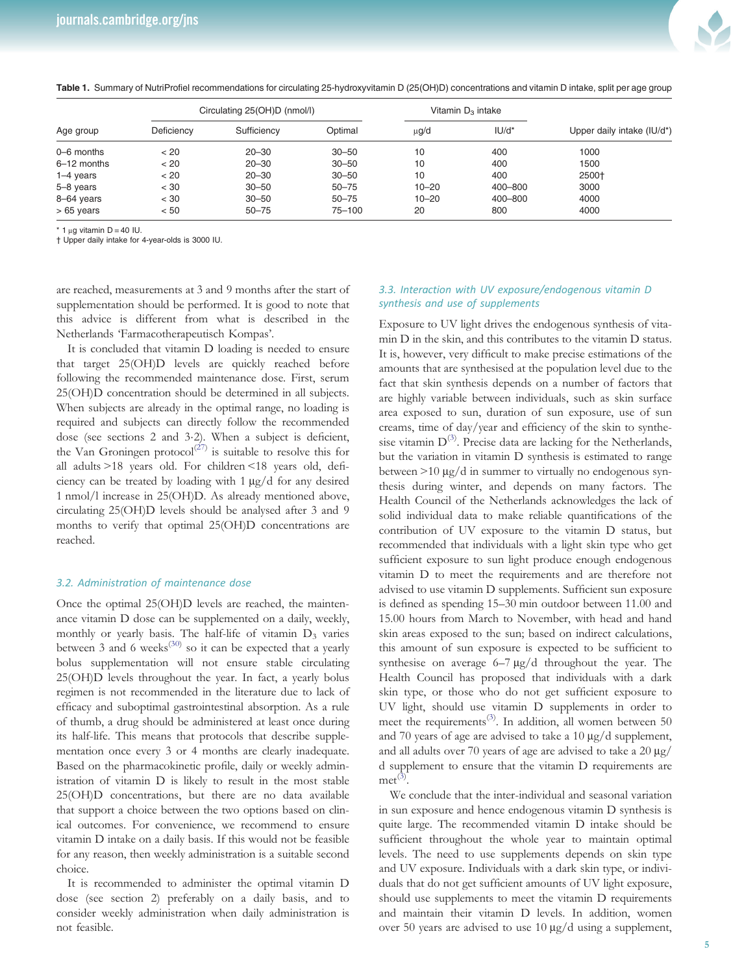

| Age group   | Circulating 25(OH)D (nmol/l) |             |           | Vitamin $D_3$ intake |             |                            |
|-------------|------------------------------|-------------|-----------|----------------------|-------------|----------------------------|
|             | Deficiency                   | Sufficiency | Optimal   | $\mu$ g/d            | $IU/d^*$    | Upper daily intake (IU/d*) |
| 0-6 months  | < 20                         | $20 - 30$   | $30 - 50$ | 10                   | 400         | 1000                       |
| 6-12 months | < 20                         | $20 - 30$   | $30 - 50$ | 10                   | 400         | 1500                       |
| $1-4$ years | < 20                         | $20 - 30$   | $30 - 50$ | 10                   | 400         | 2500+                      |
| 5-8 years   | < 30                         | $30 - 50$   | $50 - 75$ | $10 - 20$            | $400 - 800$ | 3000                       |
| 8-64 years  | < 30                         | $30 - 50$   | $50 - 75$ | $10 - 20$            | 400-800     | 4000                       |
| $>65$ years | < 50                         | $50 - 75$   | 75-100    | 20                   | 800         | 4000                       |

<span id="page-4-0"></span>Table 1. Summary of NutriProfiel recommendations for circulating 25-hydroxyvitamin D (25(OH)D) concentrations and vitamin D intake, split per age group

\* 1  $\mu$ g vitamin D = 40 IU.

† Upper daily intake for 4-year-olds is 3000 IU.

are reached, measurements at 3 and 9 months after the start of supplementation should be performed. It is good to note that this advice is different from what is described in the Netherlands 'Farmacotherapeutisch Kompas'.

It is concluded that vitamin D loading is needed to ensure that target 25(OH)D levels are quickly reached before following the recommended maintenance dose. First, serum 25(OH)D concentration should be determined in all subjects. When subjects are already in the optimal range, no loading is required and subjects can directly follow the recommended dose (see sections 2 and 3·2). When a subject is deficient, the Van Groningen protocol<sup>[\(27](#page-7-0))</sup> is suitable to resolve this for all adults >18 years old. For children <18 years old, deficiency can be treated by loading with 1 μg/d for any desired 1 nmol/l increase in 25(OH)D. As already mentioned above, circulating 25(OH)D levels should be analysed after 3 and 9 months to verify that optimal 25(OH)D concentrations are reached.

#### 3.2. Administration of maintenance dose

Once the optimal 25(OH)D levels are reached, the maintenance vitamin D dose can be supplemented on a daily, weekly, monthly or yearly basis. The half-life of vitamin  $D_3$  varies between 3 and 6 weeks<sup>[\(30](#page-7-0))</sup> so it can be expected that a yearly bolus supplementation will not ensure stable circulating 25(OH)D levels throughout the year. In fact, a yearly bolus regimen is not recommended in the literature due to lack of efficacy and suboptimal gastrointestinal absorption. As a rule of thumb, a drug should be administered at least once during its half-life. This means that protocols that describe supplementation once every 3 or 4 months are clearly inadequate. Based on the pharmacokinetic profile, daily or weekly administration of vitamin D is likely to result in the most stable 25(OH)D concentrations, but there are no data available that support a choice between the two options based on clinical outcomes. For convenience, we recommend to ensure vitamin D intake on a daily basis. If this would not be feasible for any reason, then weekly administration is a suitable second choice.

It is recommended to administer the optimal vitamin D dose (see section 2) preferably on a daily basis, and to consider weekly administration when daily administration is not feasible.

# 3.3. Interaction with UV exposure/endogenous vitamin D synthesis and use of supplements

Exposure to UV light drives the endogenous synthesis of vitamin D in the skin, and this contributes to the vitamin D status. It is, however, very difficult to make precise estimations of the amounts that are synthesised at the population level due to the fact that skin synthesis depends on a number of factors that are highly variable between individuals, such as skin surface area exposed to sun, duration of sun exposure, use of sun creams, time of day/year and efficiency of the skin to synthesise vitamin  $D^{(3)}$  $D^{(3)}$  $D^{(3)}$ . Precise data are lacking for the Netherlands, but the variation in vitamin D synthesis is estimated to range between >10 μg/d in summer to virtually no endogenous synthesis during winter, and depends on many factors. The Health Council of the Netherlands acknowledges the lack of solid individual data to make reliable quantifications of the contribution of UV exposure to the vitamin D status, but recommended that individuals with a light skin type who get sufficient exposure to sun light produce enough endogenous vitamin D to meet the requirements and are therefore not advised to use vitamin D supplements. Sufficient sun exposure is defined as spending 15–30 min outdoor between 11.00 and 15.00 hours from March to November, with head and hand skin areas exposed to the sun; based on indirect calculations, this amount of sun exposure is expected to be sufficient to synthesise on average 6–7 μg/d throughout the year. The Health Council has proposed that individuals with a dark skin type, or those who do not get sufficient exposure to UV light, should use vitamin D supplements in order to meet the requirements<sup>([3](#page-7-0))</sup>. In addition, all women between 50 and 70 years of age are advised to take a 10 μg/d supplement, and all adults over 70 years of age are advised to take a 20 μg/ d supplement to ensure that the vitamin D requirements are  $met^{(3)}$  $met^{(3)}$  $met^{(3)}$ .

We conclude that the inter-individual and seasonal variation in sun exposure and hence endogenous vitamin D synthesis is quite large. The recommended vitamin D intake should be sufficient throughout the whole year to maintain optimal levels. The need to use supplements depends on skin type and UV exposure. Individuals with a dark skin type, or individuals that do not get sufficient amounts of UV light exposure, should use supplements to meet the vitamin D requirements and maintain their vitamin D levels. In addition, women over 50 years are advised to use 10 μg/d using a supplement,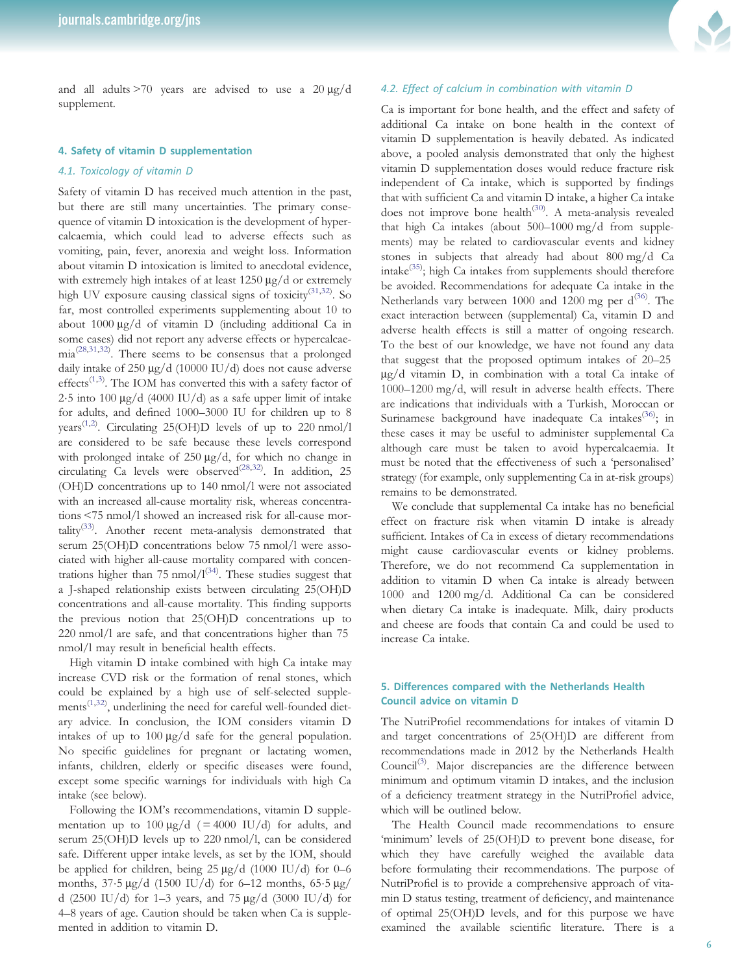and all adults >70 years are advised to use a 20 μg/d supplement.

#### 4. Safety of vitamin D supplementation

# 4.1. Toxicology of vitamin D

Safety of vitamin D has received much attention in the past, but there are still many uncertainties. The primary consequence of vitamin D intoxication is the development of hypercalcaemia, which could lead to adverse effects such as vomiting, pain, fever, anorexia and weight loss. Information about vitamin D intoxication is limited to anecdotal evidence, with extremely high intakes of at least 1250 μg/d or extremely high UV exposure causing classical signs of toxicity<sup>[\(31](#page-7-0),[32\)](#page-7-0)</sup>. So far, most controlled experiments supplementing about 10 to about 1000 μg/d of vitamin D (including additional Ca in some cases) did not report any adverse effects or hypercalcaemia([28,31,32](#page-7-0)) . There seems to be consensus that a prolonged daily intake of 250 μg/d (10000 IU/d) does not cause adverse effects<sup>([1](#page-7-0),[3](#page-7-0))</sup>. The IOM has converted this with a safety factor of 2.5 into 100  $\mu$ g/d (4000 IU/d) as a safe upper limit of intake for adults, and defined 1000–3000 IU for children up to 8 years<sup>([1](#page-7-0),[2](#page-7-0))</sup>. Circulating 25(OH)D levels of up to 220 nmol/l are considered to be safe because these levels correspond with prolonged intake of 250 μg/d, for which no change in circulating  $Ca$  levels were observed<sup> $(28,32)$  $(28,32)$  $(28,32)$ </sup>. In addition, 25 (OH)D concentrations up to 140 nmol/l were not associated with an increased all-cause mortality risk, whereas concentrations <75 nmol/l showed an increased risk for all-cause mor-tality<sup>([33\)](#page-7-0)</sup>. Another recent meta-analysis demonstrated that serum 25(OH)D concentrations below 75 nmol/l were associated with higher all-cause mortality compared with concentrations higher than 75 nmol/ $1^{(34)}$  $1^{(34)}$  $1^{(34)}$ . These studies suggest that a J-shaped relationship exists between circulating 25(OH)D concentrations and all-cause mortality. This finding supports the previous notion that 25(OH)D concentrations up to 220 nmol/l are safe, and that concentrations higher than 75 nmol/l may result in beneficial health effects.

High vitamin D intake combined with high Ca intake may increase CVD risk or the formation of renal stones, which could be explained by a high use of self-selected supple-ments<sup>([1,32](#page-7-0))</sup>, underlining the need for careful well-founded dietary advice. In conclusion, the IOM considers vitamin D intakes of up to 100 μg/d safe for the general population. No specific guidelines for pregnant or lactating women, infants, children, elderly or specific diseases were found, except some specific warnings for individuals with high Ca intake (see below).

Following the IOM's recommendations, vitamin D supplementation up to  $100 \mu g/d$  (=4000 IU/d) for adults, and serum 25(OH)D levels up to 220 nmol/l, can be considered safe. Different upper intake levels, as set by the IOM, should be applied for children, being 25 μg/d (1000 IU/d) for 0–6 months, 37·5 μg/d (1500 IU/d) for 6–12 months, 65·5 μg/ d (2500 IU/d) for 1–3 years, and 75 μg/d (3000 IU/d) for 4–8 years of age. Caution should be taken when Ca is supplemented in addition to vitamin D.



#### 4.2. Effect of calcium in combination with vitamin D

Ca is important for bone health, and the effect and safety of additional Ca intake on bone health in the context of vitamin D supplementation is heavily debated. As indicated above, a pooled analysis demonstrated that only the highest vitamin D supplementation doses would reduce fracture risk independent of Ca intake, which is supported by findings that with sufficient Ca and vitamin D intake, a higher Ca intake does not improve bone health<sup>([30\)](#page-7-0)</sup>. A meta-analysis revealed that high Ca intakes (about 500–1000 mg/d from supplements) may be related to cardiovascular events and kidney stones in subjects that already had about 800 mg/d Ca intake<sup>[\(35](#page-7-0))</sup>; high Ca intakes from supplements should therefore be avoided. Recommendations for adequate Ca intake in the Netherlands vary between  $1000$  and  $1200$  mg per  $d^{(36)}$  $d^{(36)}$  $d^{(36)}$ . The exact interaction between (supplemental) Ca, vitamin D and adverse health effects is still a matter of ongoing research. To the best of our knowledge, we have not found any data that suggest that the proposed optimum intakes of 20–25 μg/d vitamin D, in combination with a total Ca intake of 1000–1200 mg/d, will result in adverse health effects. There are indications that individuals with a Turkish, Moroccan or Surinamese background have inadequate Ca intakes<sup>[\(36](#page-7-0))</sup>; in these cases it may be useful to administer supplemental Ca although care must be taken to avoid hypercalcaemia. It must be noted that the effectiveness of such a 'personalised' strategy (for example, only supplementing Ca in at-risk groups) remains to be demonstrated.

We conclude that supplemental Ca intake has no beneficial effect on fracture risk when vitamin D intake is already sufficient. Intakes of Ca in excess of dietary recommendations might cause cardiovascular events or kidney problems. Therefore, we do not recommend Ca supplementation in addition to vitamin D when Ca intake is already between 1000 and 1200 mg/d. Additional Ca can be considered when dietary Ca intake is inadequate. Milk, dairy products and cheese are foods that contain Ca and could be used to increase Ca intake.

# 5. Differences compared with the Netherlands Health Council advice on vitamin D

The NutriProfiel recommendations for intakes of vitamin D and target concentrations of 25(OH)D are different from recommendations made in 2012 by the Netherlands Health Council<sup>[\(3\)](#page-7-0)</sup>. Major discrepancies are the difference between minimum and optimum vitamin D intakes, and the inclusion of a deficiency treatment strategy in the NutriProfiel advice, which will be outlined below.

The Health Council made recommendations to ensure 'minimum' levels of 25(OH)D to prevent bone disease, for which they have carefully weighed the available data before formulating their recommendations. The purpose of NutriProfiel is to provide a comprehensive approach of vitamin D status testing, treatment of deficiency, and maintenance of optimal 25(OH)D levels, and for this purpose we have examined the available scientific literature. There is a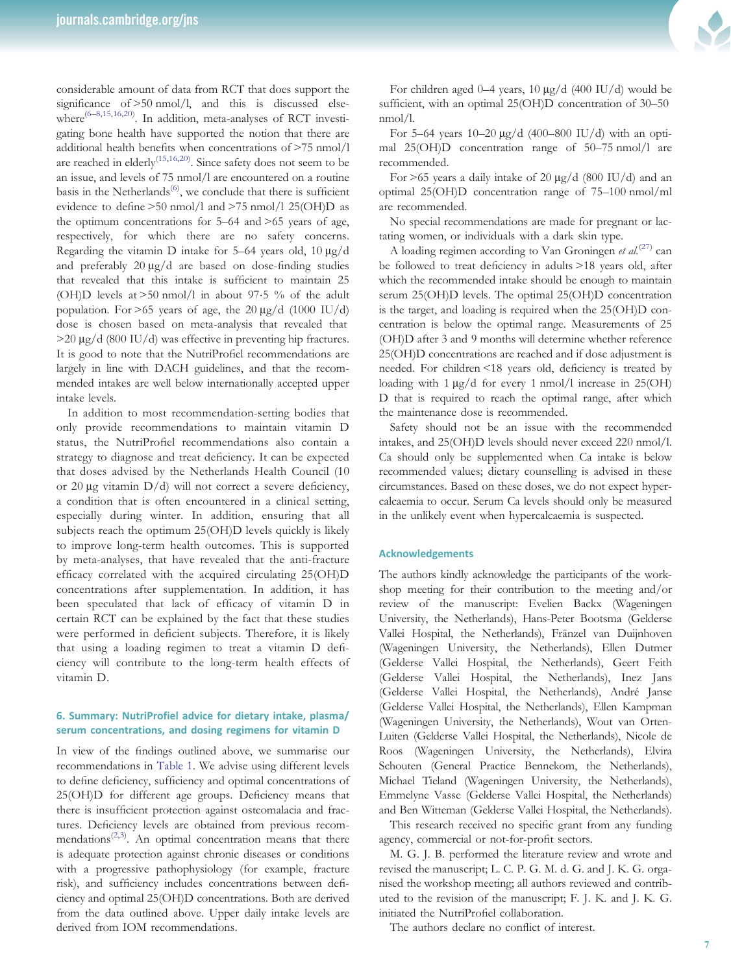

In addition to most recommendation-setting bodies that only provide recommendations to maintain vitamin D status, the NutriProfiel recommendations also contain a strategy to diagnose and treat deficiency. It can be expected that doses advised by the Netherlands Health Council (10 or 20  $\mu$ g vitamin D/d) will not correct a severe deficiency, a condition that is often encountered in a clinical setting, especially during winter. In addition, ensuring that all subjects reach the optimum 25(OH)D levels quickly is likely to improve long-term health outcomes. This is supported by meta-analyses, that have revealed that the anti-fracture efficacy correlated with the acquired circulating 25(OH)D concentrations after supplementation. In addition, it has been speculated that lack of efficacy of vitamin D in certain RCT can be explained by the fact that these studies were performed in deficient subjects. Therefore, it is likely that using a loading regimen to treat a vitamin D deficiency will contribute to the long-term health effects of vitamin D.

# 6. Summary: NutriProfiel advice for dietary intake, plasma/ serum concentrations, and dosing regimens for vitamin D

In view of the findings outlined above, we summarise our recommendations in [Table 1](#page-4-0). We advise using different levels to define deficiency, sufficiency and optimal concentrations of 25(OH)D for different age groups. Deficiency means that there is insufficient protection against osteomalacia and fractures. Deficiency levels are obtained from previous recommendations<sup> $(2,3)$  $(2,3)$ </sup>. An optimal concentration means that there is adequate protection against chronic diseases or conditions with a progressive pathophysiology (for example, fracture risk), and sufficiency includes concentrations between deficiency and optimal 25(OH)D concentrations. Both are derived from the data outlined above. Upper daily intake levels are derived from IOM recommendations.

For children aged 0–4 years, 10 μg/d (400 IU/d) would be sufficient, with an optimal 25(OH)D concentration of 30–50 nmol/l.

For 5–64 years  $10-20 \mu g/d$  (400–800 IU/d) with an optimal 25(OH)D concentration range of 50–75 nmol/l are recommended.

For  $>65$  years a daily intake of 20  $\mu$ g/d (800 IU/d) and an optimal 25(OH)D concentration range of 75–100 nmol/ml are recommended.

No special recommendations are made for pregnant or lactating women, or individuals with a dark skin type.

A loading regimen according to Van Groningen et  $al$ .<sup>([27\)](#page-7-0)</sup> can be followed to treat deficiency in adults >18 years old, after which the recommended intake should be enough to maintain serum 25(OH)D levels. The optimal 25(OH)D concentration is the target, and loading is required when the 25(OH)D concentration is below the optimal range. Measurements of 25 (OH)D after 3 and 9 months will determine whether reference 25(OH)D concentrations are reached and if dose adjustment is needed. For children <18 years old, deficiency is treated by loading with 1 μg/d for every 1 nmol/l increase in 25(OH) D that is required to reach the optimal range, after which the maintenance dose is recommended.

Safety should not be an issue with the recommended intakes, and 25(OH)D levels should never exceed 220 nmol/l. Ca should only be supplemented when Ca intake is below recommended values; dietary counselling is advised in these circumstances. Based on these doses, we do not expect hypercalcaemia to occur. Serum Ca levels should only be measured in the unlikely event when hypercalcaemia is suspected.

#### Acknowledgements

The authors kindly acknowledge the participants of the workshop meeting for their contribution to the meeting and/or review of the manuscript: Evelien Backx (Wageningen University, the Netherlands), Hans-Peter Bootsma (Gelderse Vallei Hospital, the Netherlands), Fränzel van Duijnhoven (Wageningen University, the Netherlands), Ellen Dutmer (Gelderse Vallei Hospital, the Netherlands), Geert Feith (Gelderse Vallei Hospital, the Netherlands), Inez Jans (Gelderse Vallei Hospital, the Netherlands), André Janse (Gelderse Vallei Hospital, the Netherlands), Ellen Kampman (Wageningen University, the Netherlands), Wout van Orten-Luiten (Gelderse Vallei Hospital, the Netherlands), Nicole de Roos (Wageningen University, the Netherlands), Elvira Schouten (General Practice Bennekom, the Netherlands), Michael Tieland (Wageningen University, the Netherlands), Emmelyne Vasse (Gelderse Vallei Hospital, the Netherlands) and Ben Witteman (Gelderse Vallei Hospital, the Netherlands).

This research received no specific grant from any funding agency, commercial or not-for-profit sectors.

M. G. J. B. performed the literature review and wrote and revised the manuscript; L. C. P. G. M. d. G. and J. K. G. organised the workshop meeting; all authors reviewed and contributed to the revision of the manuscript; F. J. K. and J. K. G. initiated the NutriProfiel collaboration.

The authors declare no conflict of interest.